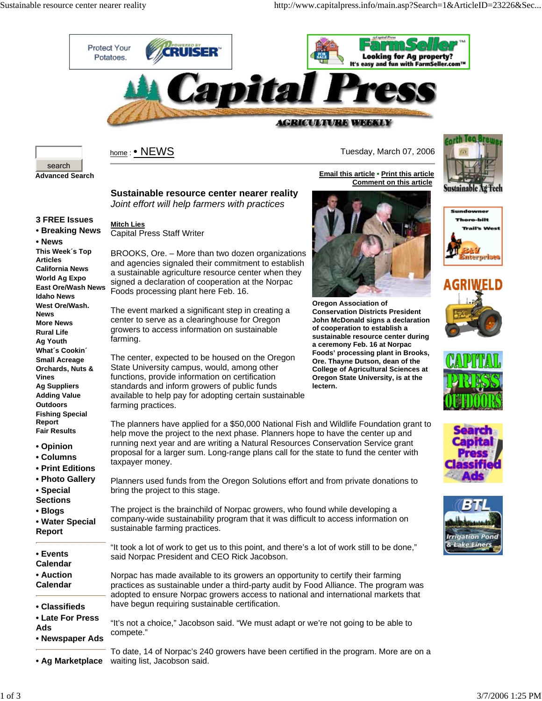

The planners have applied for a \$50,000 National Fish and Wildlife Foundation grant to help move the project to the next phase. Planners hope to have the center up and running next year and are writing a Natural Resources Conservation Service grant proposal for a larger sum. Long-range plans call for the state to fund the center with

Planners used funds from the Oregon Solutions effort and from private donations to

"It took a lot of work to get us to this point, and there's a lot of work still to be done,"

Norpac has made available to its growers an opportunity to certify their farming practices as sustainable under a third-party audit by Food Alliance. The program was adopted to ensure Norpac growers access to national and international markets that

"It's not a choice," Jacobson said. "We must adapt or we're not going to be able to

The project is the brainchild of Norpac growers, who found while developing a company-wide sustainability program that it was difficult to access information on



Capital Press Staff Writer

Foods processing plant here Feb. 16.

**Mitch Lies**

farming.

farming practices.

taxpayer money.

bring the project to this stage.

sustainable farming practices.

said Norpac President and CEO Rick Jacobson.

have begun requiring sustainable certification.

<u>home</u> : ● NEWS New York New York Network Tuesday, March 07, 2006

**Comment on this article**

**Email this article • Print this article**



**Sustainable resource center nearer reality** *Joint effort will help farmers with practices*

BROOKS, Ore. – More than two dozen organizations and agencies signaled their commitment to establish a sustainable agriculture resource center when they signed a declaration of cooperation at the Norpac

The event marked a significant step in creating a center to serve as a clearinghouse for Oregon growers to access information on sustainable

The center, expected to be housed on the Oregon State University campus, would, among other functions, provide information on certification standards and inform growers of public funds available to help pay for adopting certain sustainable

**3 FREE Issues • Breaking News**

**• News This Week´s Top Articles California News World Ag Expo East Ore/Wash News Idaho News West Ore/Wash. News More News Rural Life Ag Youth What´s Cookin´ Small Acreage Orchards, Nuts & Vines Ag Suppliers Adding Value Outdoors Fishing Special Report Fair Results**

- **Opinion**
- **Columns**
- **Print Editions**
- **Photo Gallery**
- **Special**
- **Sections**
- **Blogs**
- **Water Special**
- **Report**
- **Events**
- **Calendar**
- **Auction Calendar**
- 
- **Classifieds**
- **Late For Press**
- **Ads**
- **Newspaper Ads** compete."
- **Ag Marketplace** waiting list, Jacobson said.To date, 14 of Norpac's 240 growers have been certified in the program. More are on a



**Oregon Association of Conservation Districts President John McDonald signs a declaration of cooperation to establish a sustainable resource center during a ceremony Feb. 16 at Norpac Foods' processing plant in Brooks, Ore. Thayne Dutson, dean of the College of Agricultural Sciences at Oregon State University, is at the lectern.**

Sustainable Ag Tech Sundowner